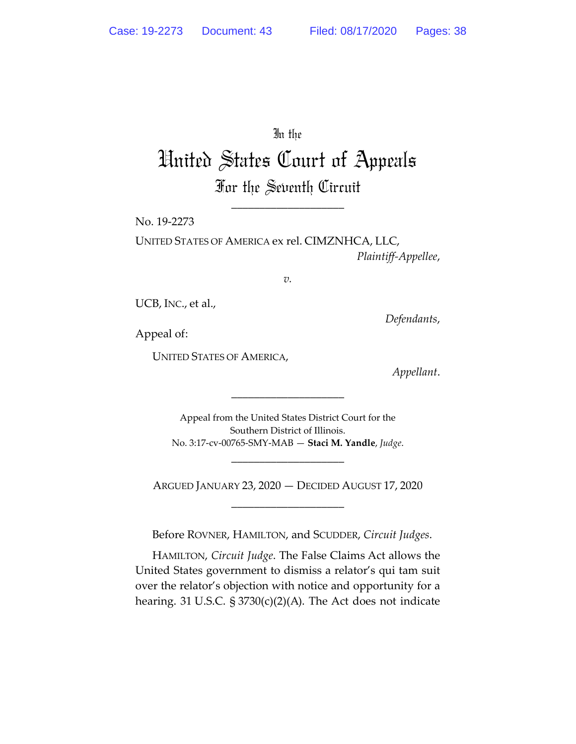In the

# United States Court of Appeals For the Seventh Circuit

\_\_\_\_\_\_\_\_\_\_\_\_\_\_\_\_\_\_\_\_

No. 19-2273

UNITED STATES OF AMERICA ex rel. CIMZNHCA, LLC, *Plaintiff-Appellee*,

*v.*

UCB, INC., et al.,

*Defendants*,

Appeal of:

UNITED STATES OF AMERICA,

*Appellant*.

Appeal from the United States District Court for the Southern District of Illinois. No. 3:17-cv-00765-SMY-MAB — **Staci M. Yandle**, *Judge*.

\_\_\_\_\_\_\_\_\_\_\_\_\_\_\_\_\_\_\_\_

ARGUED JANUARY 23, 2020 — DECIDED AUGUST 17, 2020 \_\_\_\_\_\_\_\_\_\_\_\_\_\_\_\_\_\_\_\_

\_\_\_\_\_\_\_\_\_\_\_\_\_\_\_\_\_\_\_\_

Before ROVNER, HAMILTON, and SCUDDER, *Circuit Judges*.

HAMILTON, *Circuit Judge*. The False Claims Act allows the United States government to dismiss a relator's qui tam suit over the relator's objection with notice and opportunity for a hearing. 31 U.S.C. § 3730(c)(2)(A). The Act does not indicate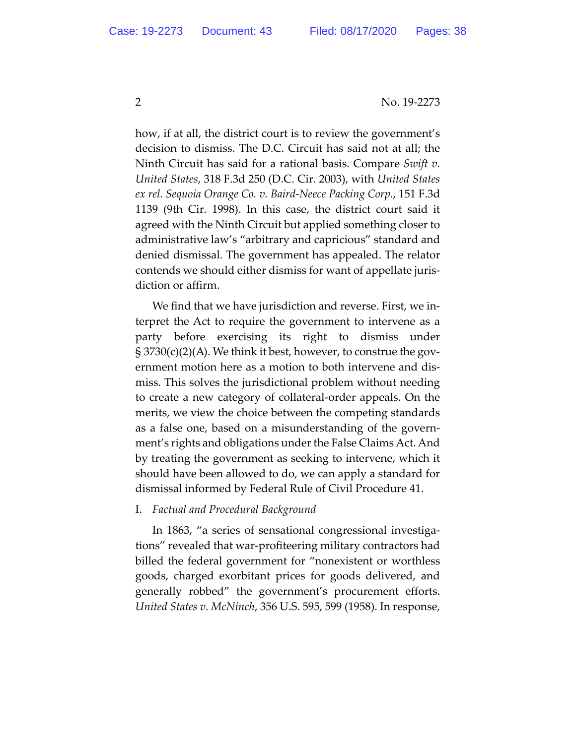how, if at all, the district court is to review the government's decision to dismiss. The D.C. Circuit has said not at all; the Ninth Circuit has said for a rational basis. Compare *Swift v. United States*, 318 F.3d 250 (D.C. Cir. 2003), with *United States ex rel. Sequoia Orange Co. v. Baird-Neece Packing Corp.*, 151 F.3d 1139 (9th Cir. 1998). In this case, the district court said it agreed with the Ninth Circuit but applied something closer to administrative law's "arbitrary and capricious" standard and denied dismissal. The government has appealed. The relator contends we should either dismiss for want of appellate jurisdiction or affirm.

We find that we have jurisdiction and reverse. First, we interpret the Act to require the government to intervene as a party before exercising its right to dismiss under § 3730(c)(2)(A). We think it best, however, to construe the government motion here as a motion to both intervene and dismiss. This solves the jurisdictional problem without needing to create a new category of collateral-order appeals. On the merits, we view the choice between the competing standards as a false one, based on a misunderstanding of the government's rights and obligations under the False Claims Act. And by treating the government as seeking to intervene, which it should have been allowed to do, we can apply a standard for dismissal informed by Federal Rule of Civil Procedure 41.

## I. *Factual and Procedural Background*

In 1863, "a series of sensational congressional investigations" revealed that war-profiteering military contractors had billed the federal government for "nonexistent or worthless goods, charged exorbitant prices for goods delivered, and generally robbed" the government's procurement efforts. *United States v. McNinch*, 356 U.S. 595, 599 (1958). In response,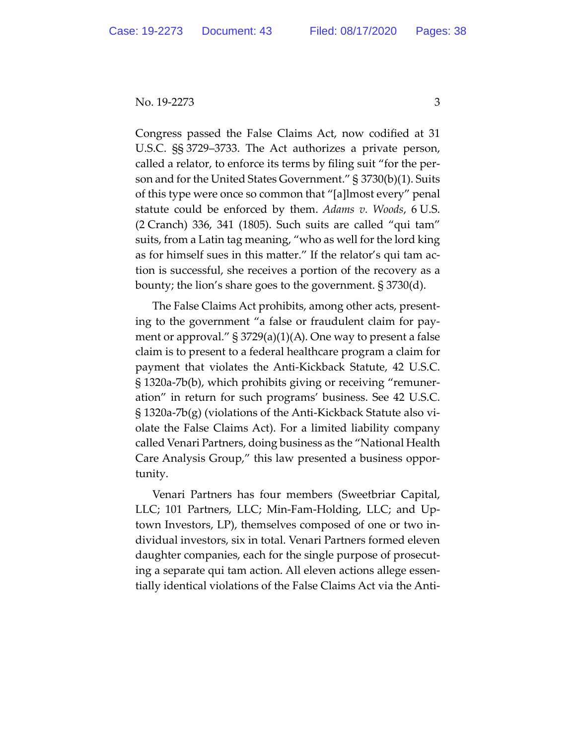Congress passed the False Claims Act, now codified at 31 U.S.C. §§ 3729–3733. The Act authorizes a private person, called a relator, to enforce its terms by filing suit "for the person and for the United States Government." § 3730(b)(1). Suits of this type were once so common that "[a]lmost every" penal statute could be enforced by them. *Adams v. Woods*, 6 U.S. (2 Cranch) 336, 341 (1805). Such suits are called "qui tam" suits, from a Latin tag meaning, "who as well for the lord king as for himself sues in this matter." If the relator's qui tam action is successful, she receives a portion of the recovery as a bounty; the lion's share goes to the government. § 3730(d).

The False Claims Act prohibits, among other acts, presenting to the government "a false or fraudulent claim for payment or approval." § 3729(a)(1)(A). One way to present a false claim is to present to a federal healthcare program a claim for payment that violates the Anti-Kickback Statute, 42 U.S.C. § 1320a-7b(b), which prohibits giving or receiving "remuneration" in return for such programs' business. See 42 U.S.C. § 1320a-7b(g) (violations of the Anti-Kickback Statute also violate the False Claims Act). For a limited liability company called Venari Partners, doing business as the "National Health Care Analysis Group," this law presented a business opportunity.

Venari Partners has four members (Sweetbriar Capital, LLC; 101 Partners, LLC; Min-Fam-Holding, LLC; and Uptown Investors, LP), themselves composed of one or two individual investors, six in total. Venari Partners formed eleven daughter companies, each for the single purpose of prosecuting a separate qui tam action. All eleven actions allege essentially identical violations of the False Claims Act via the Anti-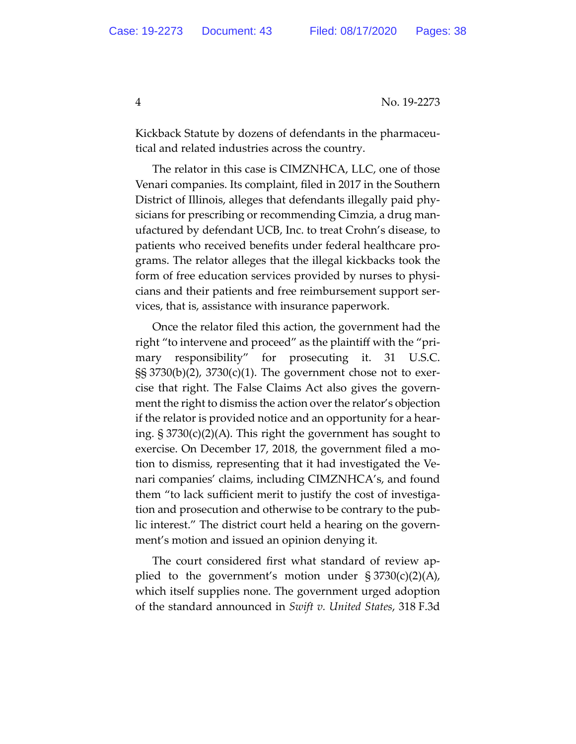Kickback Statute by dozens of defendants in the pharmaceutical and related industries across the country.

The relator in this case is CIMZNHCA, LLC, one of those Venari companies. Its complaint, filed in 2017 in the Southern District of Illinois, alleges that defendants illegally paid physicians for prescribing or recommending Cimzia, a drug manufactured by defendant UCB, Inc. to treat Crohn's disease, to patients who received benefits under federal healthcare programs. The relator alleges that the illegal kickbacks took the form of free education services provided by nurses to physicians and their patients and free reimbursement support services, that is, assistance with insurance paperwork.

Once the relator filed this action, the government had the right "to intervene and proceed" as the plaintiff with the "primary responsibility" for prosecuting it. 31 U.S.C. §§ 3730(b)(2), 3730(c)(1). The government chose not to exercise that right. The False Claims Act also gives the government the right to dismiss the action over the relator's objection if the relator is provided notice and an opportunity for a hearing. § 3730(c)(2)(A). This right the government has sought to exercise. On December 17, 2018, the government filed a motion to dismiss, representing that it had investigated the Venari companies' claims, including CIMZNHCA's, and found them "to lack sufficient merit to justify the cost of investigation and prosecution and otherwise to be contrary to the public interest." The district court held a hearing on the government's motion and issued an opinion denying it.

The court considered first what standard of review applied to the government's motion under  $\S 3730(c)(2)(A)$ , which itself supplies none. The government urged adoption of the standard announced in *Swift v. United States*, 318 F.3d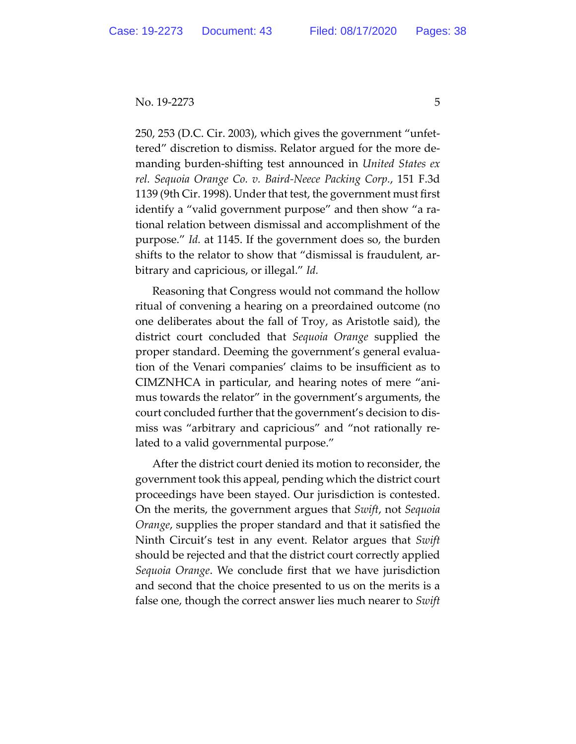250, 253 (D.C. Cir. 2003), which gives the government "unfettered" discretion to dismiss. Relator argued for the more demanding burden-shifting test announced in *United States ex rel. Sequoia Orange Co. v. Baird-Neece Packing Corp.*, 151 F.3d 1139 (9th Cir. 1998). Under that test, the government must first identify a "valid government purpose" and then show "a rational relation between dismissal and accomplishment of the purpose." *Id.* at 1145. If the government does so, the burden shifts to the relator to show that "dismissal is fraudulent, arbitrary and capricious, or illegal." *Id.*

Reasoning that Congress would not command the hollow ritual of convening a hearing on a preordained outcome (no one deliberates about the fall of Troy, as Aristotle said), the district court concluded that *Sequoia Orange* supplied the proper standard. Deeming the government's general evaluation of the Venari companies' claims to be insufficient as to CIMZNHCA in particular, and hearing notes of mere "animus towards the relator" in the government's arguments, the court concluded further that the government's decision to dismiss was "arbitrary and capricious" and "not rationally related to a valid governmental purpose."

After the district court denied its motion to reconsider, the government took this appeal, pending which the district court proceedings have been stayed. Our jurisdiction is contested. On the merits, the government argues that *Swift*, not *Sequoia Orange*, supplies the proper standard and that it satisfied the Ninth Circuit's test in any event. Relator argues that *Swift* should be rejected and that the district court correctly applied *Sequoia Orange*. We conclude first that we have jurisdiction and second that the choice presented to us on the merits is a false one, though the correct answer lies much nearer to *Swift*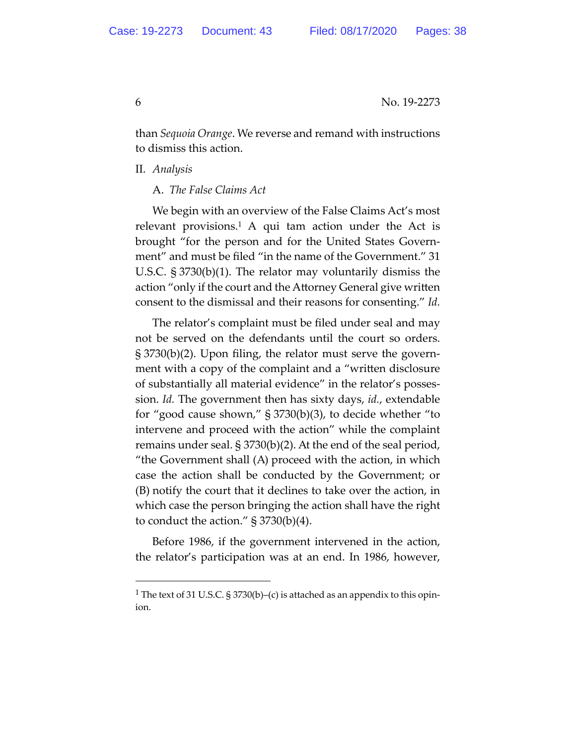than *Sequoia Orange*. We reverse and remand with instructions to dismiss this action.

II. *Analysis*

A. *The False Claims Act*

We begin with an overview of the False Claims Act's most relevant provisions.<sup>1</sup> A qui tam action under the Act is brought "for the person and for the United States Government" and must be filed "in the name of the Government." 31 U.S.C. § 3730(b)(1). The relator may voluntarily dismiss the action "only if the court and the Attorney General give written consent to the dismissal and their reasons for consenting." *Id.*

The relator's complaint must be filed under seal and may not be served on the defendants until the court so orders. § 3730(b)(2). Upon filing, the relator must serve the government with a copy of the complaint and a "written disclosure of substantially all material evidence" in the relator's possession. *Id.* The government then has sixty days, *id.*, extendable for "good cause shown," § 3730(b)(3), to decide whether "to intervene and proceed with the action" while the complaint remains under seal. § 3730(b)(2). At the end of the seal period, "the Government shall (A) proceed with the action, in which case the action shall be conducted by the Government; or (B) notify the court that it declines to take over the action, in which case the person bringing the action shall have the right to conduct the action."  $\S 3730(b)(4)$ .

Before 1986, if the government intervened in the action, the relator's participation was at an end. In 1986, however,

<sup>&</sup>lt;sup>1</sup> The text of 31 U.S.C. § 3730(b)–(c) is attached as an appendix to this opinion.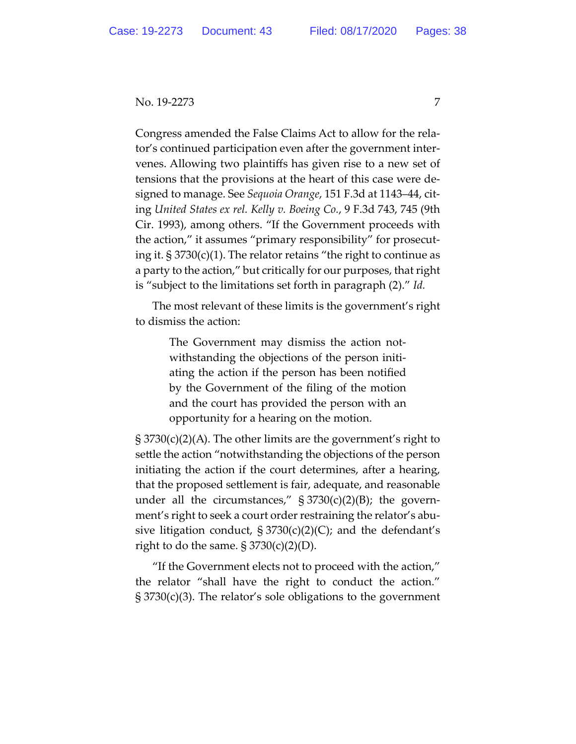Congress amended the False Claims Act to allow for the relator's continued participation even after the government intervenes. Allowing two plaintiffs has given rise to a new set of tensions that the provisions at the heart of this case were designed to manage. See *Sequoia Orange*, 151 F.3d at 1143–44, citing *United States ex rel. Kelly v. Boeing Co.*, 9 F.3d 743, 745 (9th Cir. 1993), among others. "If the Government proceeds with the action," it assumes "primary responsibility" for prosecuting it. § 3730(c)(1). The relator retains "the right to continue as a party to the action," but critically for our purposes, that right is "subject to the limitations set forth in paragraph (2)." *Id.*

The most relevant of these limits is the government's right to dismiss the action:

> The Government may dismiss the action notwithstanding the objections of the person initiating the action if the person has been notified by the Government of the filing of the motion and the court has provided the person with an opportunity for a hearing on the motion.

§ 3730(c)(2)(A). The other limits are the government's right to settle the action "notwithstanding the objections of the person initiating the action if the court determines, after a hearing, that the proposed settlement is fair, adequate, and reasonable under all the circumstances,"  $\S 3730(c)(2)(B)$ ; the government's right to seek a court order restraining the relator's abusive litigation conduct,  $\S 3730(c)(2)(C)$ ; and the defendant's right to do the same.  $\S 3730(c)(2)(D)$ .

"If the Government elects not to proceed with the action," the relator "shall have the right to conduct the action." § 3730(c)(3). The relator's sole obligations to the government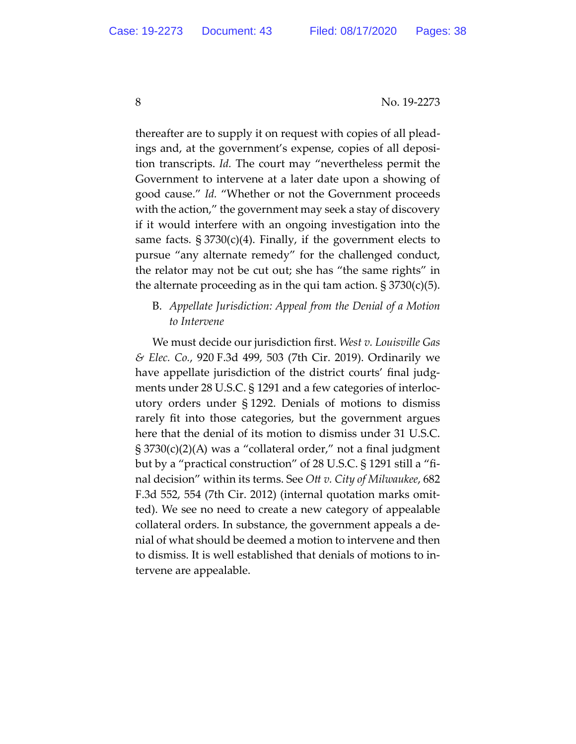thereafter are to supply it on request with copies of all pleadings and, at the government's expense, copies of all deposition transcripts. *Id.* The court may "nevertheless permit the Government to intervene at a later date upon a showing of good cause." *Id.* "Whether or not the Government proceeds with the action," the government may seek a stay of discovery if it would interfere with an ongoing investigation into the same facts.  $\S 3730(c)(4)$ . Finally, if the government elects to pursue "any alternate remedy" for the challenged conduct, the relator may not be cut out; she has "the same rights" in the alternate proceeding as in the qui tam action.  $\S 3730(c)(5)$ .

# B. *Appellate Jurisdiction: Appeal from the Denial of a Motion to Intervene*

We must decide our jurisdiction first. *West v. Louisville Gas & Elec. Co.*, 920 F.3d 499, 503 (7th Cir. 2019). Ordinarily we have appellate jurisdiction of the district courts' final judgments under 28 U.S.C. § 1291 and a few categories of interlocutory orders under § 1292. Denials of motions to dismiss rarely fit into those categories, but the government argues here that the denial of its motion to dismiss under 31 U.S.C. § 3730(c)(2)(A) was a "collateral order," not a final judgment but by a "practical construction" of 28 U.S.C. § 1291 still a "final decision" within its terms. See *Ott v. City of Milwaukee*, 682 F.3d 552, 554 (7th Cir. 2012) (internal quotation marks omitted). We see no need to create a new category of appealable collateral orders. In substance, the government appeals a denial of what should be deemed a motion to intervene and then to dismiss. It is well established that denials of motions to intervene are appealable.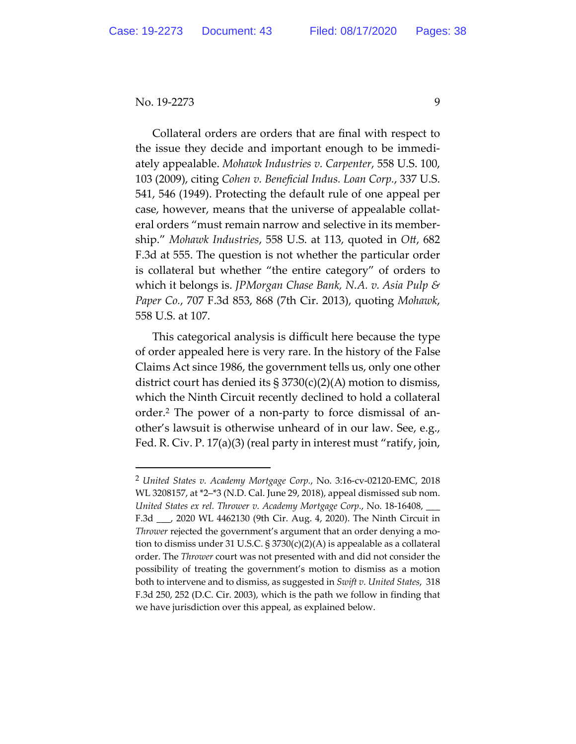Collateral orders are orders that are final with respect to the issue they decide and important enough to be immediately appealable. *Mohawk Industries v. Carpenter*, 558 U.S. 100, 103 (2009), citing *Cohen v. Beneficial Indus. Loan Corp.*, 337 U.S. 541, 546 (1949). Protecting the default rule of one appeal per case, however, means that the universe of appealable collateral orders "must remain narrow and selective in its membership." *Mohawk Industries*, 558 U.S. at 113, quoted in *Ott*, 682 F.3d at 555. The question is not whether the particular order is collateral but whether "the entire category" of orders to which it belongs is. *JPMorgan Chase Bank, N.A. v. Asia Pulp & Paper Co.*, 707 F.3d 853, 868 (7th Cir. 2013), quoting *Mohawk*, 558 U.S. at 107.

This categorical analysis is difficult here because the type of order appealed here is very rare. In the history of the False Claims Act since 1986, the government tells us, only one other district court has denied its  $\S 3730(c)(2)(A)$  motion to dismiss, which the Ninth Circuit recently declined to hold a collateral order.2 The power of a non-party to force dismissal of another's lawsuit is otherwise unheard of in our law. See, e.g., Fed. R. Civ. P. 17(a)(3) (real party in interest must "ratify, join,

<sup>2</sup> *United States v. Academy Mortgage Corp.*, No. 3:16-cv-02120-EMC, 2018 WL 3208157, at \*2–\*3 (N.D. Cal. June 29, 2018), appeal dismissed sub nom. *United States ex rel. Thrower v. Academy Mortgage Corp.*, No. 18-16408, \_\_\_ F.3d \_\_\_, 2020 WL 4462130 (9th Cir. Aug. 4, 2020). The Ninth Circuit in *Thrower* rejected the government's argument that an order denying a motion to dismiss under 31 U.S.C.  $\S 3730(c)(2)(A)$  is appealable as a collateral order. The *Thrower* court was not presented with and did not consider the possibility of treating the government's motion to dismiss as a motion both to intervene and to dismiss, as suggested in *Swift v. United States*, 318 F.3d 250, 252 (D.C. Cir. 2003), which is the path we follow in finding that we have jurisdiction over this appeal, as explained below.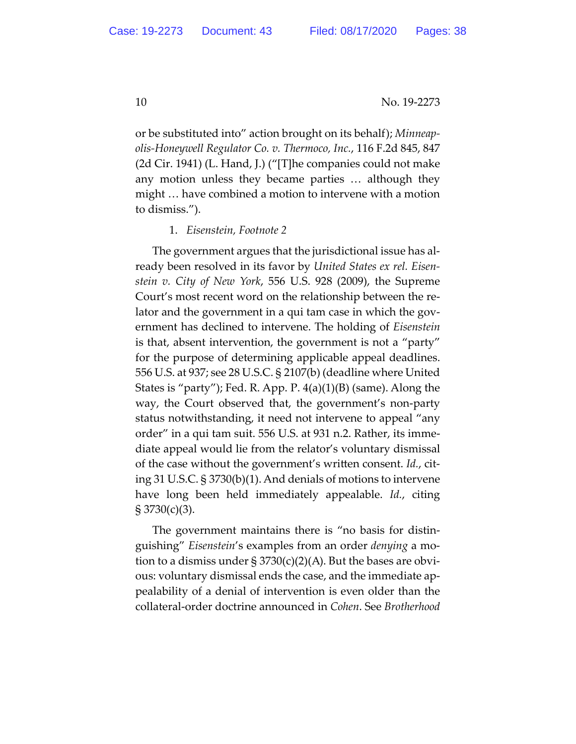or be substituted into" action brought on its behalf); *Minneapolis-Honeywell Regulator Co. v. Thermoco, Inc.*, 116 F.2d 845, 847 (2d Cir. 1941) (L. Hand, J.) ("[T]he companies could not make any motion unless they became parties … although they might … have combined a motion to intervene with a motion to dismiss.").

#### 1. *Eisenstein, Footnote 2*

The government argues that the jurisdictional issue has already been resolved in its favor by *United States ex rel. Eisenstein v. City of New York*, 556 U.S. 928 (2009), the Supreme Court's most recent word on the relationship between the relator and the government in a qui tam case in which the government has declined to intervene. The holding of *Eisenstein* is that, absent intervention, the government is not a "party" for the purpose of determining applicable appeal deadlines. 556 U.S. at 937; see 28 U.S.C. § 2107(b) (deadline where United States is "party"); Fed. R. App. P. 4(a)(1)(B) (same). Along the way, the Court observed that, the government's non-party status notwithstanding, it need not intervene to appeal "any order" in a qui tam suit. 556 U.S. at 931 n.2. Rather, its immediate appeal would lie from the relator's voluntary dismissal of the case without the government's written consent. *Id.*, citing 31 U.S.C. § 3730(b)(1). And denials of motions to intervene have long been held immediately appealable. *Id.*, citing § 3730(c)(3).

The government maintains there is "no basis for distinguishing" *Eisenstein*'s examples from an order *denying* a motion to a dismiss under  $\S 3730(c)(2)(A)$ . But the bases are obvious: voluntary dismissal ends the case, and the immediate appealability of a denial of intervention is even older than the collateral-order doctrine announced in *Cohen*. See *Brotherhood*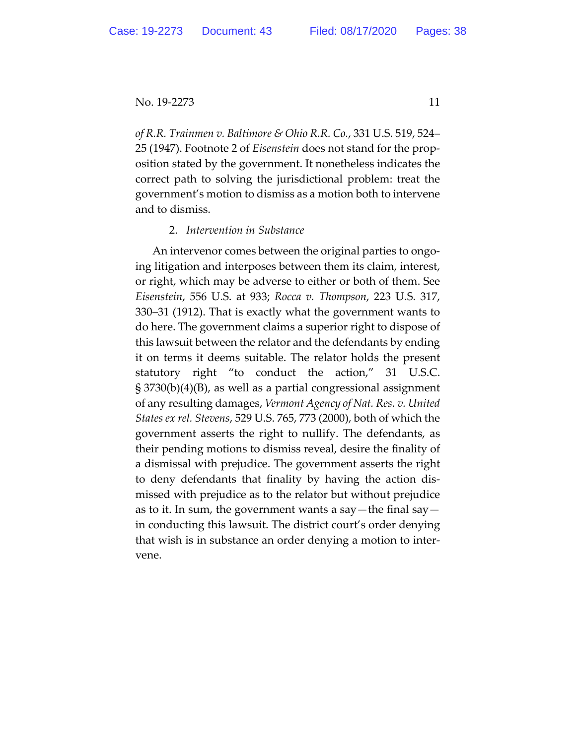*of R.R. Trainmen v. Baltimore & Ohio R.R. Co.*, 331 U.S. 519, 524– 25 (1947). Footnote 2 of *Eisenstein* does not stand for the proposition stated by the government. It nonetheless indicates the correct path to solving the jurisdictional problem: treat the government's motion to dismiss as a motion both to intervene and to dismiss.

#### 2. *Intervention in Substance*

An intervenor comes between the original parties to ongoing litigation and interposes between them its claim, interest, or right, which may be adverse to either or both of them. See *Eisenstein*, 556 U.S. at 933; *Rocca v. Thompson*, 223 U.S. 317, 330–31 (1912). That is exactly what the government wants to do here. The government claims a superior right to dispose of this lawsuit between the relator and the defendants by ending it on terms it deems suitable. The relator holds the present statutory right "to conduct the action," 31 U.S.C. § 3730(b)(4)(B), as well as a partial congressional assignment of any resulting damages, *Vermont Agency of Nat. Res. v. United States ex rel. Stevens*, 529 U.S. 765, 773 (2000), both of which the government asserts the right to nullify. The defendants, as their pending motions to dismiss reveal, desire the finality of a dismissal with prejudice. The government asserts the right to deny defendants that finality by having the action dismissed with prejudice as to the relator but without prejudice as to it. In sum, the government wants a say—the final say in conducting this lawsuit. The district court's order denying that wish is in substance an order denying a motion to intervene.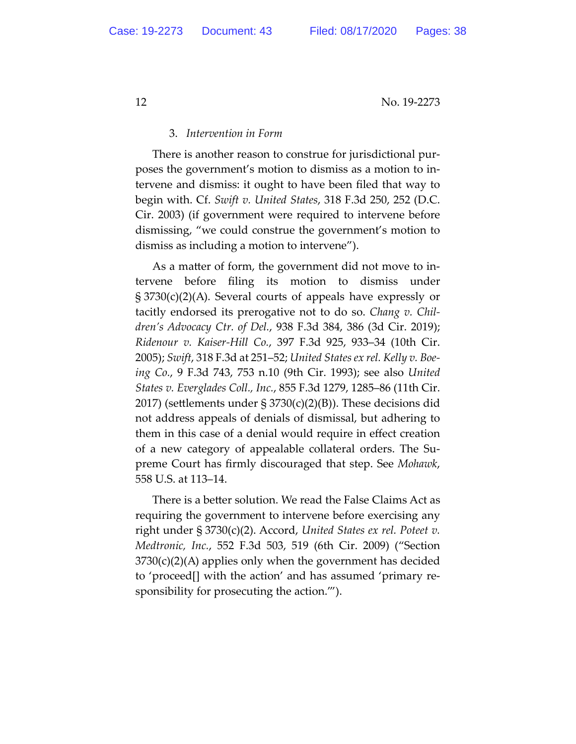## 3. *Intervention in Form*

There is another reason to construe for jurisdictional purposes the government's motion to dismiss as a motion to intervene and dismiss: it ought to have been filed that way to begin with. Cf. *Swift v. United States*, 318 F.3d 250, 252 (D.C. Cir. 2003) (if government were required to intervene before dismissing, "we could construe the government's motion to dismiss as including a motion to intervene").

As a matter of form, the government did not move to intervene before filing its motion to dismiss under § 3730(c)(2)(A). Several courts of appeals have expressly or tacitly endorsed its prerogative not to do so. *Chang v. Children's Advocacy Ctr. of Del.*, 938 F.3d 384, 386 (3d Cir. 2019); *Ridenour v. Kaiser-Hill Co.*, 397 F.3d 925, 933–34 (10th Cir. 2005); *Swift*, 318 F.3d at 251–52; *United States ex rel. Kelly v. Boeing Co.*, 9 F.3d 743, 753 n.10 (9th Cir. 1993); see also *United States v. Everglades Coll., Inc.*, 855 F.3d 1279, 1285–86 (11th Cir. 2017) (settlements under § 3730(c)(2)(B)). These decisions did not address appeals of denials of dismissal, but adhering to them in this case of a denial would require in effect creation of a new category of appealable collateral orders. The Supreme Court has firmly discouraged that step. See *Mohawk*, 558 U.S. at 113–14.

There is a better solution. We read the False Claims Act as requiring the government to intervene before exercising any right under § 3730(c)(2). Accord, *United States ex rel. Poteet v. Medtronic, Inc.*, 552 F.3d 503, 519 (6th Cir. 2009) ("Section 3730(c)(2)(A) applies only when the government has decided to 'proceed[] with the action' and has assumed 'primary responsibility for prosecuting the action.'").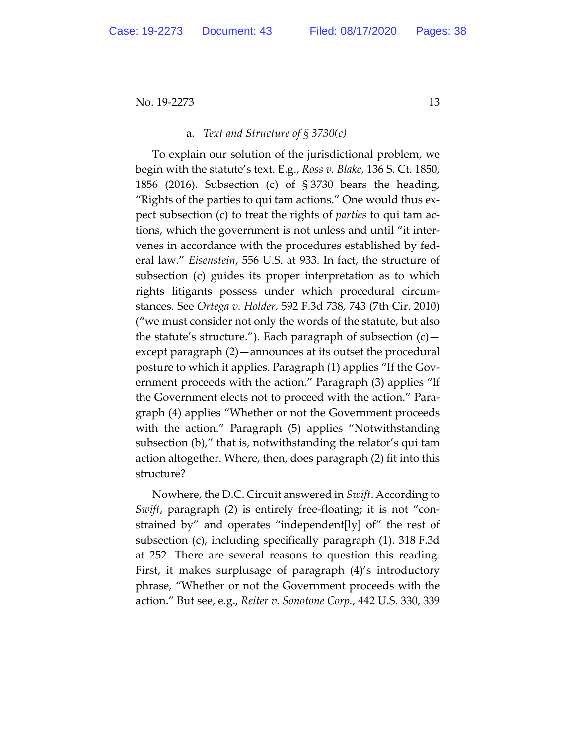#### a. *Text and Structure of § 3730(c)*

To explain our solution of the jurisdictional problem, we begin with the statute's text. E.g., *Ross v. Blake*, 136 S. Ct. 1850, 1856 (2016). Subsection (c) of § 3730 bears the heading, "Rights of the parties to qui tam actions." One would thus expect subsection (c) to treat the rights of *parties* to qui tam actions, which the government is not unless and until "it intervenes in accordance with the procedures established by federal law." *Eisenstein*, 556 U.S. at 933. In fact, the structure of subsection (c) guides its proper interpretation as to which rights litigants possess under which procedural circumstances. See *Ortega v. Holder*, 592 F.3d 738, 743 (7th Cir. 2010) ("we must consider not only the words of the statute, but also the statute's structure."). Each paragraph of subsection  $(c)$  except paragraph (2)—announces at its outset the procedural posture to which it applies. Paragraph (1) applies "If the Government proceeds with the action." Paragraph (3) applies "If the Government elects not to proceed with the action." Paragraph (4) applies "Whether or not the Government proceeds with the action." Paragraph (5) applies "Notwithstanding subsection (b)," that is, notwithstanding the relator's qui tam action altogether. Where, then, does paragraph (2) fit into this structure?

Nowhere, the D.C. Circuit answered in *Swift*. According to *Swift*, paragraph (2) is entirely free-floating; it is not "constrained by" and operates "independent[ly] of" the rest of subsection (c), including specifically paragraph (1). 318 F.3d at 252. There are several reasons to question this reading. First, it makes surplusage of paragraph (4)'s introductory phrase, "Whether or not the Government proceeds with the action." But see, e.g., *Reiter v. Sonotone Corp.*, 442 U.S. 330, 339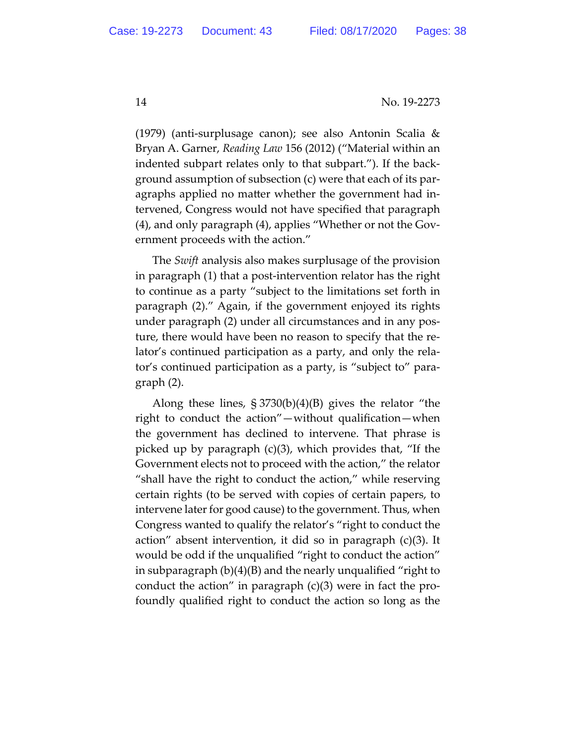(1979) (anti-surplusage canon); see also Antonin Scalia & Bryan A. Garner, *Reading Law* 156 (2012) ("Material within an indented subpart relates only to that subpart."). If the background assumption of subsection (c) were that each of its paragraphs applied no matter whether the government had intervened, Congress would not have specified that paragraph (4), and only paragraph (4), applies "Whether or not the Government proceeds with the action."

The *Swift* analysis also makes surplusage of the provision in paragraph (1) that a post-intervention relator has the right to continue as a party "subject to the limitations set forth in paragraph (2)." Again, if the government enjoyed its rights under paragraph (2) under all circumstances and in any posture, there would have been no reason to specify that the relator's continued participation as a party, and only the relator's continued participation as a party, is "subject to" paragraph (2).

Along these lines, § 3730(b)(4)(B) gives the relator "the right to conduct the action"—without qualification—when the government has declined to intervene. That phrase is picked up by paragraph (c)(3), which provides that, "If the Government elects not to proceed with the action," the relator "shall have the right to conduct the action," while reserving certain rights (to be served with copies of certain papers, to intervene later for good cause) to the government. Thus, when Congress wanted to qualify the relator's "right to conduct the action" absent intervention, it did so in paragraph (c)(3). It would be odd if the unqualified "right to conduct the action" in subparagraph (b)(4)(B) and the nearly unqualified "right to conduct the action" in paragraph  $(c)(3)$  were in fact the profoundly qualified right to conduct the action so long as the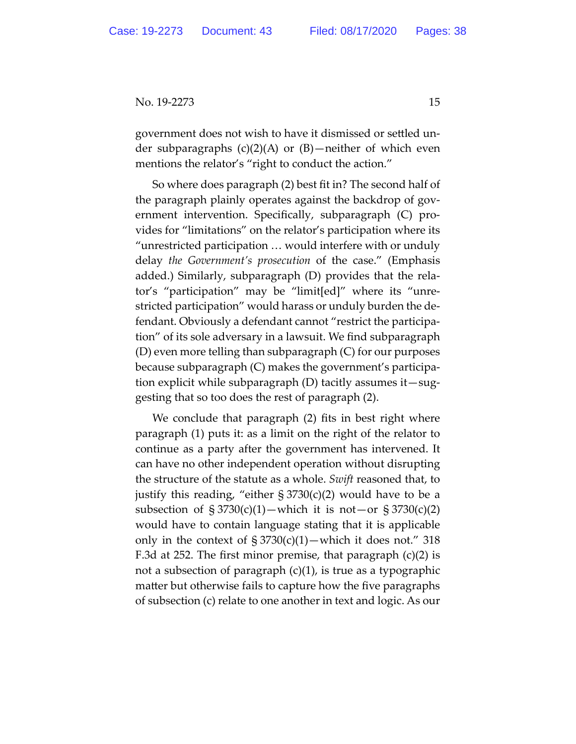government does not wish to have it dismissed or settled under subparagraphs (c)(2)(A) or (B)—neither of which even mentions the relator's "right to conduct the action."

So where does paragraph (2) best fit in? The second half of the paragraph plainly operates against the backdrop of government intervention. Specifically, subparagraph (C) provides for "limitations" on the relator's participation where its "unrestricted participation … would interfere with or unduly delay *the Government's prosecution* of the case." (Emphasis added.) Similarly, subparagraph (D) provides that the relator's "participation" may be "limit[ed]" where its "unrestricted participation" would harass or unduly burden the defendant. Obviously a defendant cannot "restrict the participation" of its sole adversary in a lawsuit. We find subparagraph (D) even more telling than subparagraph (C) for our purposes because subparagraph (C) makes the government's participation explicit while subparagraph (D) tacitly assumes it—suggesting that so too does the rest of paragraph (2).

We conclude that paragraph (2) fits in best right where paragraph (1) puts it: as a limit on the right of the relator to continue as a party after the government has intervened. It can have no other independent operation without disrupting the structure of the statute as a whole. *Swift* reasoned that, to justify this reading, "either  $\S 3730(c)(2)$  would have to be a subsection of  $\S 3730(c)(1)$ —which it is not—or  $\S 3730(c)(2)$ would have to contain language stating that it is applicable only in the context of  $\S 3730(c)(1)$ —which it does not." 318 F.3d at 252. The first minor premise, that paragraph (c)(2) is not a subsection of paragraph  $(c)(1)$ , is true as a typographic matter but otherwise fails to capture how the five paragraphs of subsection (c) relate to one another in text and logic. As our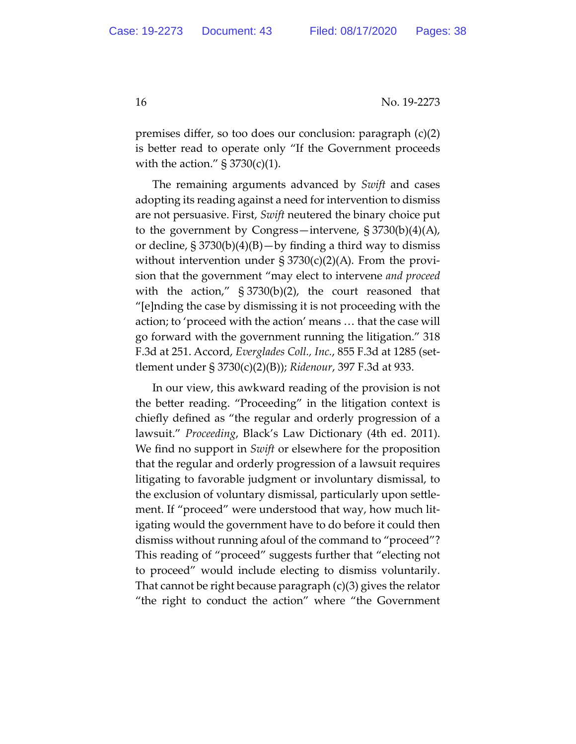premises differ, so too does our conclusion: paragraph (c)(2) is better read to operate only "If the Government proceeds with the action."  $\S 3730(c)(1)$ .

The remaining arguments advanced by *Swift* and cases adopting its reading against a need for intervention to dismiss are not persuasive. First, *Swift* neutered the binary choice put to the government by Congress—intervene, § 3730(b)(4)(A), or decline,  $\S 3730(b)(4)(B) - by finding a third way to dismiss$ without intervention under  $\S 3730(c)(2)(A)$ . From the provision that the government "may elect to intervene *and proceed* with the action," § 3730(b)(2), the court reasoned that "[e]nding the case by dismissing it is not proceeding with the action; to 'proceed with the action' means … that the case will go forward with the government running the litigation." 318 F.3d at 251. Accord, *Everglades Coll., Inc.*, 855 F.3d at 1285 (settlement under § 3730(c)(2)(B)); *Ridenour*, 397 F.3d at 933.

In our view, this awkward reading of the provision is not the better reading. "Proceeding" in the litigation context is chiefly defined as "the regular and orderly progression of a lawsuit." *Proceeding*, Black's Law Dictionary (4th ed. 2011). We find no support in *Swift* or elsewhere for the proposition that the regular and orderly progression of a lawsuit requires litigating to favorable judgment or involuntary dismissal, to the exclusion of voluntary dismissal, particularly upon settlement. If "proceed" were understood that way, how much litigating would the government have to do before it could then dismiss without running afoul of the command to "proceed"? This reading of "proceed" suggests further that "electing not to proceed" would include electing to dismiss voluntarily. That cannot be right because paragraph (c)(3) gives the relator "the right to conduct the action" where "the Government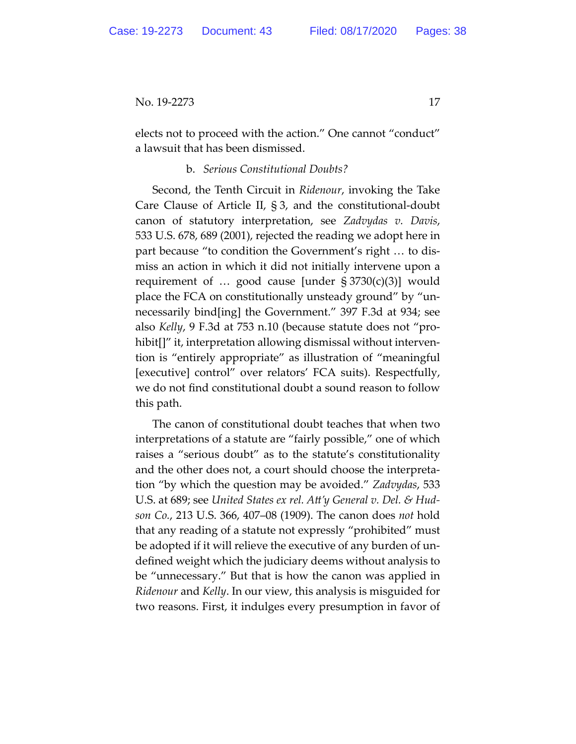elects not to proceed with the action." One cannot "conduct" a lawsuit that has been dismissed.

## b. *Serious Constitutional Doubts?*

Second, the Tenth Circuit in *Ridenour*, invoking the Take Care Clause of Article II, § 3, and the constitutional-doubt canon of statutory interpretation, see *Zadvydas v. Davis*, 533 U.S. 678, 689 (2001), rejected the reading we adopt here in part because "to condition the Government's right … to dismiss an action in which it did not initially intervene upon a requirement of  $\ldots$  good cause [under § 3730(c)(3)] would place the FCA on constitutionally unsteady ground" by "unnecessarily bind[ing] the Government." 397 F.3d at 934; see also *Kelly*, 9 F.3d at 753 n.10 (because statute does not "prohibit[]" it, interpretation allowing dismissal without intervention is "entirely appropriate" as illustration of "meaningful [executive] control" over relators' FCA suits). Respectfully, we do not find constitutional doubt a sound reason to follow this path.

The canon of constitutional doubt teaches that when two interpretations of a statute are "fairly possible," one of which raises a "serious doubt" as to the statute's constitutionality and the other does not, a court should choose the interpretation "by which the question may be avoided." *Zadvydas*, 533 U.S. at 689; see *United States ex rel. Att'y General v. Del. & Hudson Co.*, 213 U.S. 366, 407–08 (1909). The canon does *not* hold that any reading of a statute not expressly "prohibited" must be adopted if it will relieve the executive of any burden of undefined weight which the judiciary deems without analysis to be "unnecessary." But that is how the canon was applied in *Ridenour* and *Kelly*. In our view, this analysis is misguided for two reasons. First, it indulges every presumption in favor of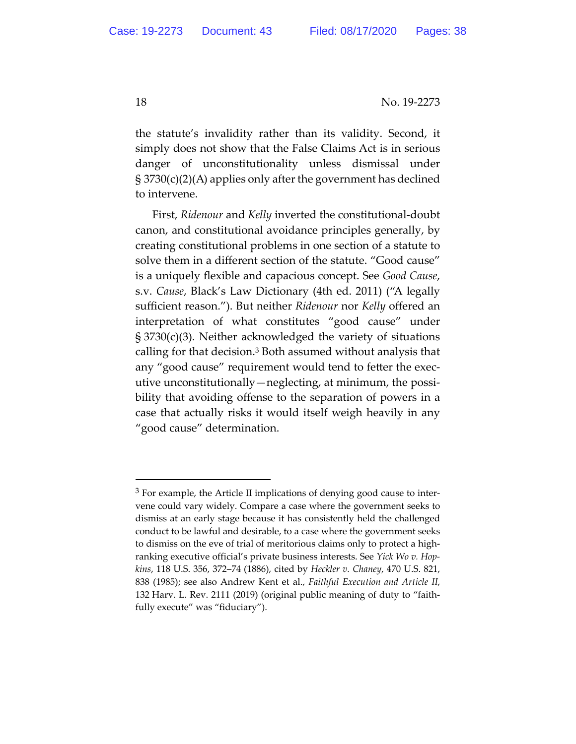the statute's invalidity rather than its validity. Second, it simply does not show that the False Claims Act is in serious danger of unconstitutionality unless dismissal under § 3730(c)(2)(A) applies only after the government has declined to intervene.

First, *Ridenour* and *Kelly* inverted the constitutional-doubt canon, and constitutional avoidance principles generally, by creating constitutional problems in one section of a statute to solve them in a different section of the statute. "Good cause" is a uniquely flexible and capacious concept. See *Good Cause*, s.v. *Cause*, Black's Law Dictionary (4th ed. 2011) ("A legally sufficient reason."). But neither *Ridenour* nor *Kelly* offered an interpretation of what constitutes "good cause" under § 3730(c)(3). Neither acknowledged the variety of situations calling for that decision.3 Both assumed without analysis that any "good cause" requirement would tend to fetter the executive unconstitutionally—neglecting, at minimum, the possibility that avoiding offense to the separation of powers in a case that actually risks it would itself weigh heavily in any "good cause" determination.

<sup>&</sup>lt;sup>3</sup> For example, the Article II implications of denying good cause to intervene could vary widely. Compare a case where the government seeks to dismiss at an early stage because it has consistently held the challenged conduct to be lawful and desirable, to a case where the government seeks to dismiss on the eve of trial of meritorious claims only to protect a highranking executive official's private business interests. See *Yick Wo v. Hopkins*, 118 U.S. 356, 372–74 (1886), cited by *Heckler v. Chaney*, 470 U.S. 821, 838 (1985); see also Andrew Kent et al., *Faithful Execution and Article II*, 132 Harv. L. Rev. 2111 (2019) (original public meaning of duty to "faithfully execute" was "fiduciary").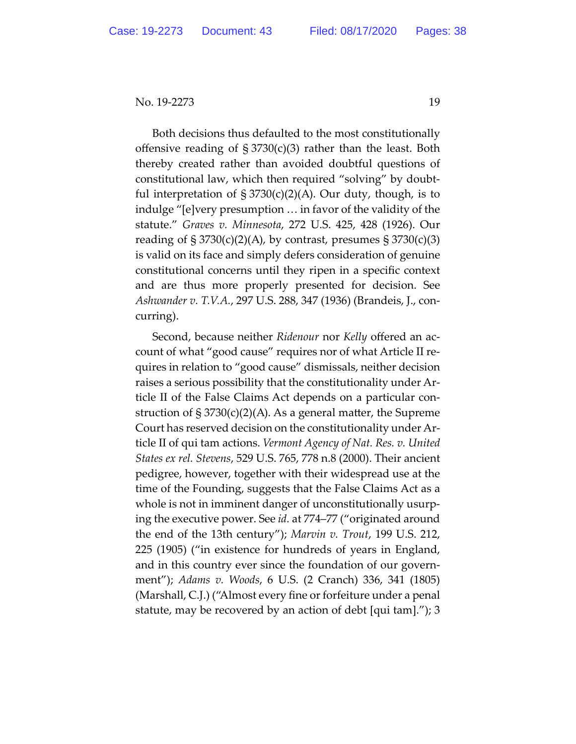Both decisions thus defaulted to the most constitutionally offensive reading of  $\S 3730(c)(3)$  rather than the least. Both thereby created rather than avoided doubtful questions of constitutional law, which then required "solving" by doubtful interpretation of  $\S 3730(c)(2)(A)$ . Our duty, though, is to indulge "[e]very presumption … in favor of the validity of the statute." *Graves v. Minnesota*, 272 U.S. 425, 428 (1926). Our reading of  $\S 3730(c)(2)(A)$ , by contrast, presumes  $\S 3730(c)(3)$ is valid on its face and simply defers consideration of genuine constitutional concerns until they ripen in a specific context and are thus more properly presented for decision. See *Ashwander v. T.V.A.*, 297 U.S. 288, 347 (1936) (Brandeis, J., concurring).

Second, because neither *Ridenour* nor *Kelly* offered an account of what "good cause" requires nor of what Article II requires in relation to "good cause" dismissals, neither decision raises a serious possibility that the constitutionality under Article II of the False Claims Act depends on a particular construction of  $\S 3730(c)(2)(A)$ . As a general matter, the Supreme Court has reserved decision on the constitutionality under Article II of qui tam actions. *Vermont Agency of Nat. Res. v. United States ex rel. Stevens*, 529 U.S. 765, 778 n.8 (2000). Their ancient pedigree, however, together with their widespread use at the time of the Founding, suggests that the False Claims Act as a whole is not in imminent danger of unconstitutionally usurping the executive power. See *id.* at 774–77 ("originated around the end of the 13th century"); *Marvin v. Trout*, 199 U.S. 212, 225 (1905) ("in existence for hundreds of years in England, and in this country ever since the foundation of our government"); *Adams v. Woods*, 6 U.S. (2 Cranch) 336, 341 (1805) (Marshall, C.J.) ("Almost every fine or forfeiture under a penal statute, may be recovered by an action of debt [qui tam]."); 3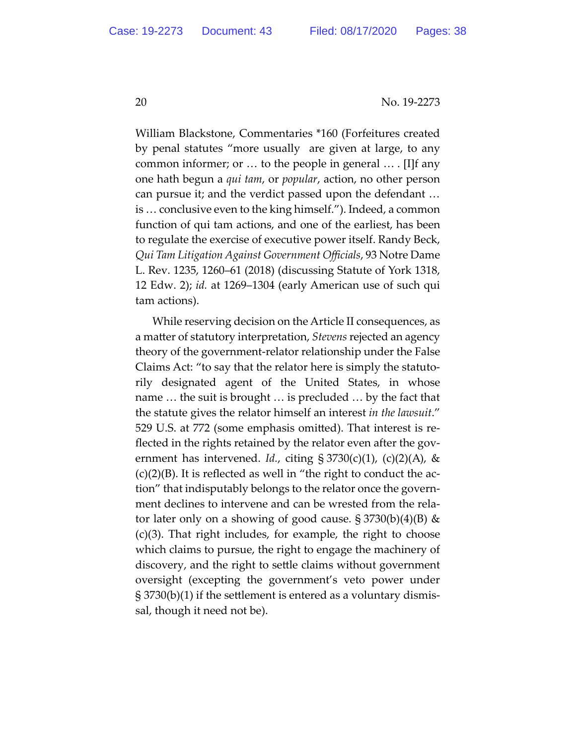William Blackstone, Commentaries \*160 (Forfeitures created by penal statutes "more usually are given at large, to any common informer; or … to the people in general … . [I]f any one hath begun a *qui tam*, or *popular*, action, no other person can pursue it; and the verdict passed upon the defendant … is … conclusive even to the king himself."). Indeed, a common function of qui tam actions, and one of the earliest, has been to regulate the exercise of executive power itself. Randy Beck, *Qui Tam Litigation Against Government Officials*, 93 Notre Dame L. Rev. 1235, 1260–61 (2018) (discussing Statute of York 1318, 12 Edw. 2); *id.* at 1269–1304 (early American use of such qui tam actions).

While reserving decision on the Article II consequences, as a matter of statutory interpretation, *Stevens* rejected an agency theory of the government-relator relationship under the False Claims Act: "to say that the relator here is simply the statutorily designated agent of the United States, in whose name … the suit is brought … is precluded … by the fact that the statute gives the relator himself an interest *in the lawsuit*." 529 U.S. at 772 (some emphasis omitted). That interest is reflected in the rights retained by the relator even after the government has intervened. *Id.*, citing  $\S 3730(c)(1)$ , (c)(2)(A), &  $(c)(2)(B)$ . It is reflected as well in "the right to conduct the action" that indisputably belongs to the relator once the government declines to intervene and can be wrested from the relator later only on a showing of good cause.  $\S 3730(b)(4)(B)$  & (c)(3). That right includes, for example, the right to choose which claims to pursue, the right to engage the machinery of discovery, and the right to settle claims without government oversight (excepting the government's veto power under § 3730(b)(1) if the settlement is entered as a voluntary dismissal, though it need not be).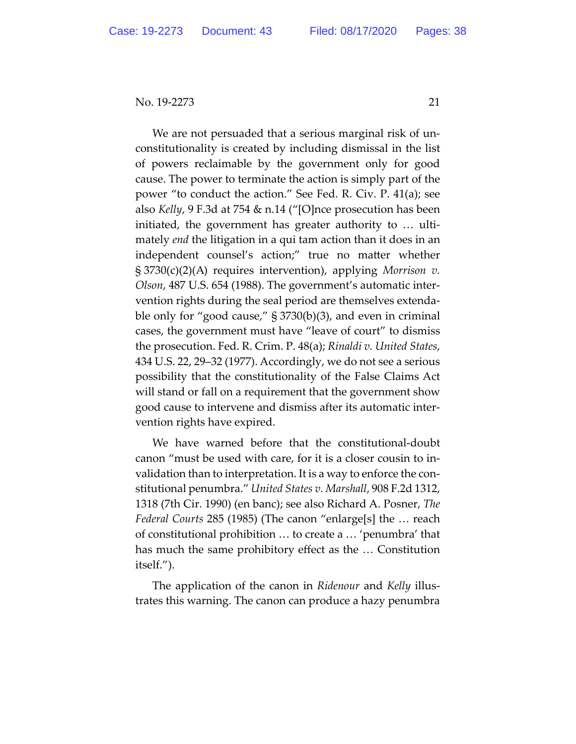We are not persuaded that a serious marginal risk of unconstitutionality is created by including dismissal in the list of powers reclaimable by the government only for good cause. The power to terminate the action is simply part of the power "to conduct the action." See Fed. R. Civ. P. 41(a); see also *Kelly*, 9 F.3d at 754 & n.14 ("[O]nce prosecution has been initiated, the government has greater authority to … ultimately *end* the litigation in a qui tam action than it does in an independent counsel's action;" true no matter whether § 3730(c)(2)(A) requires intervention), applying *Morrison v. Olson*, 487 U.S. 654 (1988). The government's automatic intervention rights during the seal period are themselves extendable only for "good cause," § 3730(b)(3), and even in criminal cases, the government must have "leave of court" to dismiss the prosecution. Fed. R. Crim. P. 48(a); *Rinaldi v. United States*, 434 U.S. 22, 29–32 (1977). Accordingly, we do not see a serious possibility that the constitutionality of the False Claims Act will stand or fall on a requirement that the government show good cause to intervene and dismiss after its automatic intervention rights have expired.

We have warned before that the constitutional-doubt canon "must be used with care, for it is a closer cousin to invalidation than to interpretation. It is a way to enforce the constitutional penumbra." *United States v. Marshall*, 908 F.2d 1312, 1318 (7th Cir. 1990) (en banc); see also Richard A. Posner, *The Federal Courts* 285 (1985) (The canon "enlarge[s] the … reach of constitutional prohibition … to create a … 'penumbra' that has much the same prohibitory effect as the … Constitution itself.").

The application of the canon in *Ridenour* and *Kelly* illustrates this warning. The canon can produce a hazy penumbra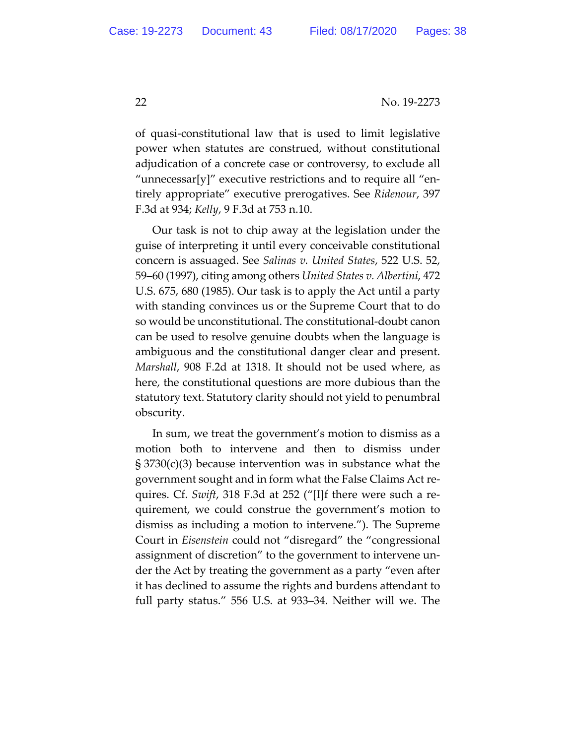of quasi-constitutional law that is used to limit legislative power when statutes are construed, without constitutional adjudication of a concrete case or controversy, to exclude all "unnecessar[y]" executive restrictions and to require all "entirely appropriate" executive prerogatives. See *Ridenour*, 397 F.3d at 934; *Kelly*, 9 F.3d at 753 n.10.

Our task is not to chip away at the legislation under the guise of interpreting it until every conceivable constitutional concern is assuaged. See *Salinas v. United States*, 522 U.S. 52, 59–60 (1997), citing among others *United States v. Albertini*, 472 U.S. 675, 680 (1985). Our task is to apply the Act until a party with standing convinces us or the Supreme Court that to do so would be unconstitutional. The constitutional-doubt canon can be used to resolve genuine doubts when the language is ambiguous and the constitutional danger clear and present. *Marshall*, 908 F.2d at 1318. It should not be used where, as here, the constitutional questions are more dubious than the statutory text. Statutory clarity should not yield to penumbral obscurity.

In sum, we treat the government's motion to dismiss as a motion both to intervene and then to dismiss under § 3730(c)(3) because intervention was in substance what the government sought and in form what the False Claims Act requires. Cf. *Swift*, 318 F.3d at 252 ("[I]f there were such a requirement, we could construe the government's motion to dismiss as including a motion to intervene."). The Supreme Court in *Eisenstein* could not "disregard" the "congressional assignment of discretion" to the government to intervene under the Act by treating the government as a party "even after it has declined to assume the rights and burdens attendant to full party status." 556 U.S. at 933–34. Neither will we. The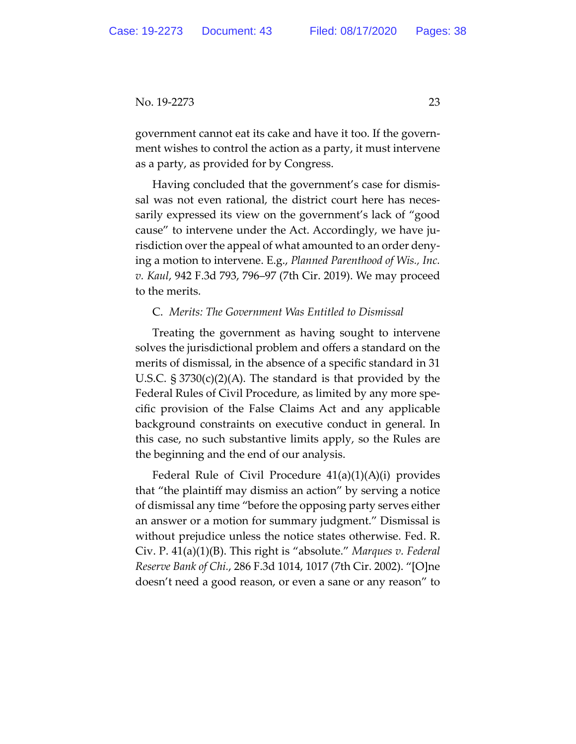government cannot eat its cake and have it too. If the government wishes to control the action as a party, it must intervene as a party, as provided for by Congress.

Having concluded that the government's case for dismissal was not even rational, the district court here has necessarily expressed its view on the government's lack of "good cause" to intervene under the Act. Accordingly, we have jurisdiction over the appeal of what amounted to an order denying a motion to intervene. E.g., *Planned Parenthood of Wis., Inc. v. Kaul*, 942 F.3d 793, 796–97 (7th Cir. 2019). We may proceed to the merits.

### C. *Merits: The Government Was Entitled to Dismissal*

Treating the government as having sought to intervene solves the jurisdictional problem and offers a standard on the merits of dismissal, in the absence of a specific standard in 31 U.S.C. § 3730(c)(2)(A). The standard is that provided by the Federal Rules of Civil Procedure, as limited by any more specific provision of the False Claims Act and any applicable background constraints on executive conduct in general. In this case, no such substantive limits apply, so the Rules are the beginning and the end of our analysis.

Federal Rule of Civil Procedure 41(a)(1)(A)(i) provides that "the plaintiff may dismiss an action" by serving a notice of dismissal any time "before the opposing party serves either an answer or a motion for summary judgment." Dismissal is without prejudice unless the notice states otherwise. Fed. R. Civ. P. 41(a)(1)(B). This right is "absolute." *Marques v. Federal Reserve Bank of Chi.*, 286 F.3d 1014, 1017 (7th Cir. 2002). "[O]ne doesn't need a good reason, or even a sane or any reason" to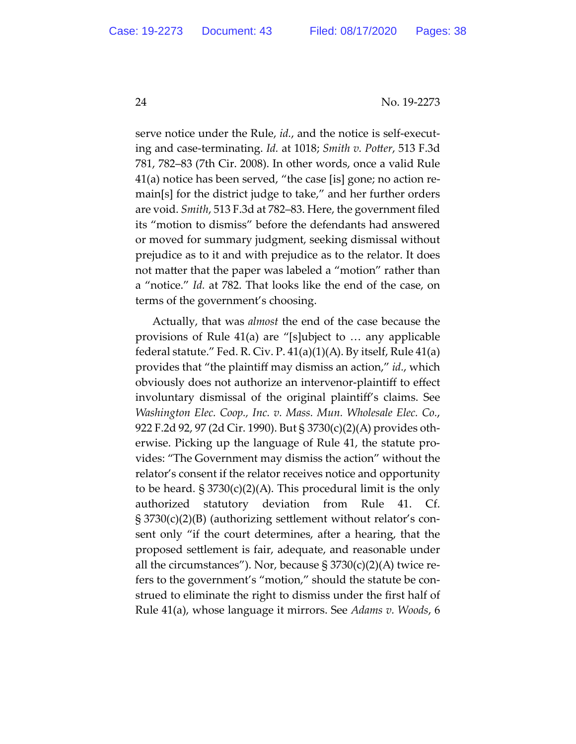serve notice under the Rule, *id.*, and the notice is self-executing and case-terminating. *Id.* at 1018; *Smith v. Potter*, 513 F.3d 781, 782–83 (7th Cir. 2008). In other words, once a valid Rule 41(a) notice has been served, "the case [is] gone; no action remain[s] for the district judge to take," and her further orders are void. *Smith*, 513 F.3d at 782–83. Here, the government filed its "motion to dismiss" before the defendants had answered or moved for summary judgment, seeking dismissal without prejudice as to it and with prejudice as to the relator. It does not matter that the paper was labeled a "motion" rather than a "notice." *Id.* at 782. That looks like the end of the case, on terms of the government's choosing.

Actually, that was *almost* the end of the case because the provisions of Rule 41(a) are "[s]ubject to … any applicable federal statute." Fed. R. Civ. P.  $41(a)(1)(A)$ . By itself, Rule  $41(a)$ provides that "the plaintiff may dismiss an action," *id.*, which obviously does not authorize an intervenor-plaintiff to effect involuntary dismissal of the original plaintiff's claims. See *Washington Elec. Coop., Inc. v. Mass. Mun. Wholesale Elec. Co.*, 922 F.2d 92, 97 (2d Cir. 1990). But § 3730(c)(2)(A) provides otherwise. Picking up the language of Rule 41, the statute provides: "The Government may dismiss the action" without the relator's consent if the relator receives notice and opportunity to be heard.  $\S 3730(c)(2)(A)$ . This procedural limit is the only authorized statutory deviation from Rule 41. Cf. § 3730(c)(2)(B) (authorizing settlement without relator's consent only "if the court determines, after a hearing, that the proposed settlement is fair, adequate, and reasonable under all the circumstances"). Nor, because  $\S 3730(c)(2)$ (A) twice refers to the government's "motion," should the statute be construed to eliminate the right to dismiss under the first half of Rule 41(a), whose language it mirrors. See *Adams v. Woods*, 6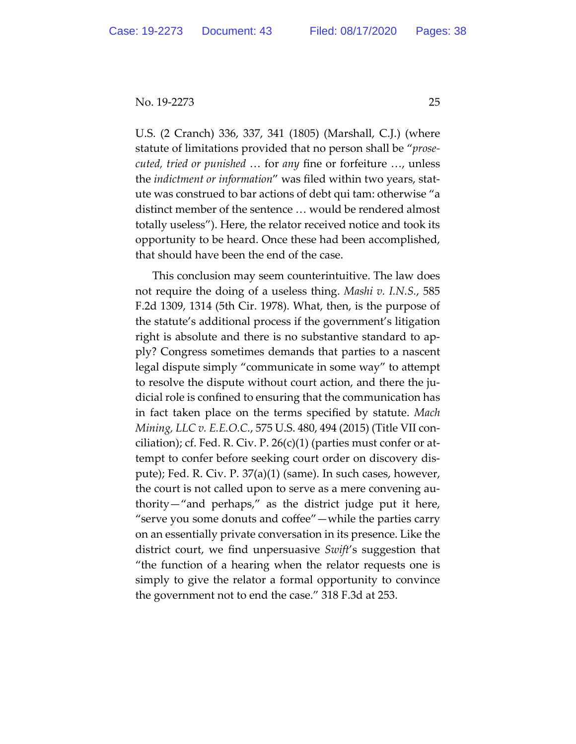U.S. (2 Cranch) 336, 337, 341 (1805) (Marshall, C.J.) (where statute of limitations provided that no person shall be "*prosecuted, tried or punished* … for *any* fine or forfeiture …, unless the *indictment or information*" was filed within two years, statute was construed to bar actions of debt qui tam: otherwise "a distinct member of the sentence … would be rendered almost totally useless"). Here, the relator received notice and took its opportunity to be heard. Once these had been accomplished, that should have been the end of the case.

This conclusion may seem counterintuitive. The law does not require the doing of a useless thing. *Mashi v. I.N.S.*, 585 F.2d 1309, 1314 (5th Cir. 1978). What, then, is the purpose of the statute's additional process if the government's litigation right is absolute and there is no substantive standard to apply? Congress sometimes demands that parties to a nascent legal dispute simply "communicate in some way" to attempt to resolve the dispute without court action, and there the judicial role is confined to ensuring that the communication has in fact taken place on the terms specified by statute. *Mach Mining, LLC v. E.E.O.C.*, 575 U.S. 480, 494 (2015) (Title VII conciliation); cf. Fed. R. Civ. P.  $26(c)(1)$  (parties must confer or attempt to confer before seeking court order on discovery dispute); Fed. R. Civ. P. 37(a)(1) (same). In such cases, however, the court is not called upon to serve as a mere convening authority—"and perhaps," as the district judge put it here, "serve you some donuts and coffee"—while the parties carry on an essentially private conversation in its presence. Like the district court, we find unpersuasive *Swift*'s suggestion that "the function of a hearing when the relator requests one is simply to give the relator a formal opportunity to convince the government not to end the case." 318 F.3d at 253.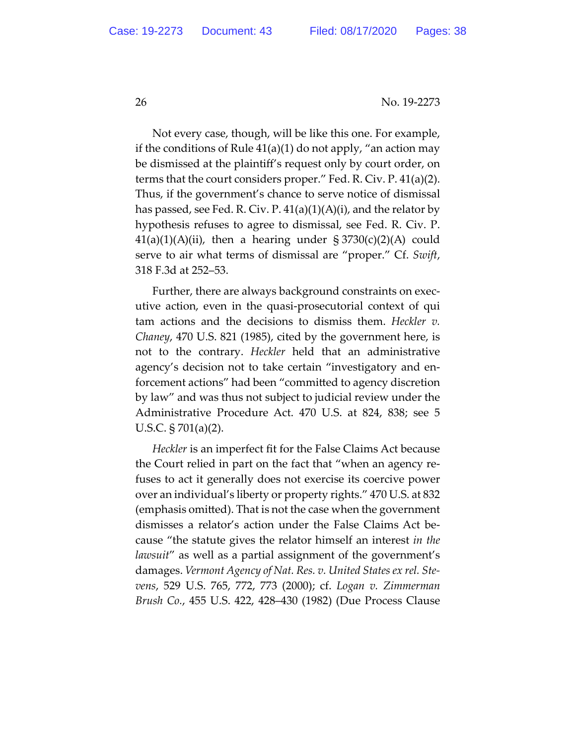Not every case, though, will be like this one. For example, if the conditions of Rule  $41(a)(1)$  do not apply, "an action may be dismissed at the plaintiff's request only by court order, on terms that the court considers proper." Fed. R. Civ. P. 41(a)(2). Thus, if the government's chance to serve notice of dismissal has passed, see Fed. R. Civ. P.  $41(a)(1)(A)(i)$ , and the relator by hypothesis refuses to agree to dismissal, see Fed. R. Civ. P.  $41(a)(1)(A)(ii)$ , then a hearing under  $\S 3730(c)(2)(A)$  could serve to air what terms of dismissal are "proper." Cf. *Swift*, 318 F.3d at 252–53.

Further, there are always background constraints on executive action, even in the quasi-prosecutorial context of qui tam actions and the decisions to dismiss them. *Heckler v. Chaney*, 470 U.S. 821 (1985), cited by the government here, is not to the contrary. *Heckler* held that an administrative agency's decision not to take certain "investigatory and enforcement actions" had been "committed to agency discretion by law" and was thus not subject to judicial review under the Administrative Procedure Act. 470 U.S. at 824, 838; see 5 U.S.C. § 701(a)(2).

*Heckler* is an imperfect fit for the False Claims Act because the Court relied in part on the fact that "when an agency refuses to act it generally does not exercise its coercive power over an individual's liberty or property rights." 470 U.S. at 832 (emphasis omitted). That is not the case when the government dismisses a relator's action under the False Claims Act because "the statute gives the relator himself an interest *in the lawsuit*" as well as a partial assignment of the government's damages. *Vermont Agency of Nat. Res. v. United States ex rel. Stevens*, 529 U.S. 765, 772, 773 (2000); cf. *Logan v. Zimmerman Brush Co.*, 455 U.S. 422, 428–430 (1982) (Due Process Clause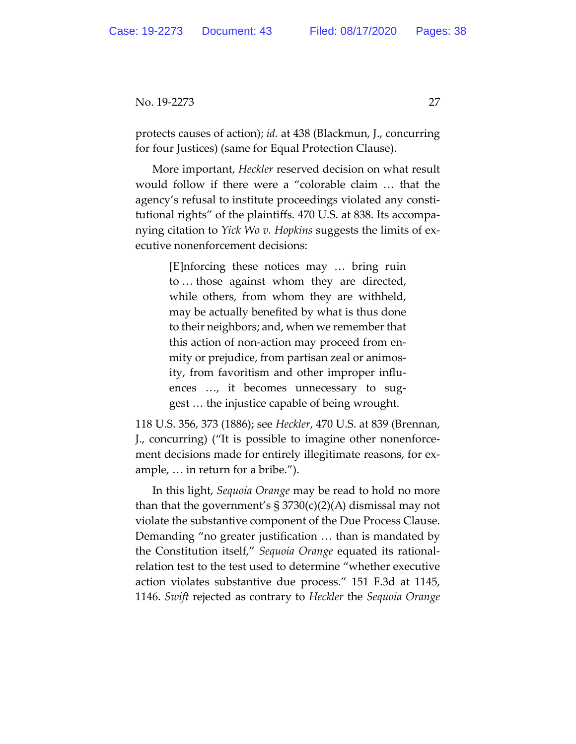protects causes of action); *id.* at 438 (Blackmun, J., concurring for four Justices) (same for Equal Protection Clause).

More important, *Heckler* reserved decision on what result would follow if there were a "colorable claim … that the agency's refusal to institute proceedings violated any constitutional rights" of the plaintiffs. 470 U.S. at 838. Its accompanying citation to *Yick Wo v. Hopkins* suggests the limits of executive nonenforcement decisions:

> [E]nforcing these notices may … bring ruin to … those against whom they are directed, while others, from whom they are withheld, may be actually benefited by what is thus done to their neighbors; and, when we remember that this action of non-action may proceed from enmity or prejudice, from partisan zeal or animosity, from favoritism and other improper influences …, it becomes unnecessary to suggest … the injustice capable of being wrought.

118 U.S. 356, 373 (1886); see *Heckler*, 470 U.S. at 839 (Brennan, J., concurring) ("It is possible to imagine other nonenforcement decisions made for entirely illegitimate reasons, for example, … in return for a bribe.").

In this light, *Sequoia Orange* may be read to hold no more than that the government's  $\S 3730(c)(2)(A)$  dismissal may not violate the substantive component of the Due Process Clause. Demanding "no greater justification … than is mandated by the Constitution itself," *Sequoia Orange* equated its rationalrelation test to the test used to determine "whether executive action violates substantive due process." 151 F.3d at 1145, 1146. *Swift* rejected as contrary to *Heckler* the *Sequoia Orange*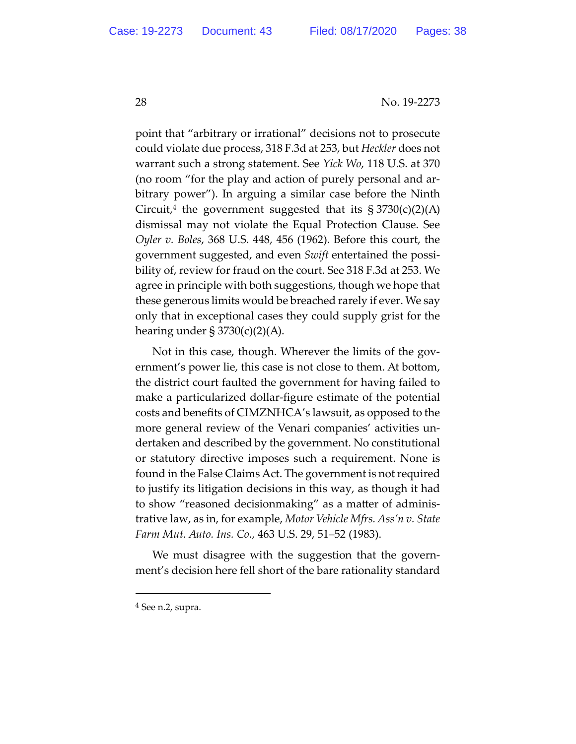point that "arbitrary or irrational" decisions not to prosecute could violate due process, 318 F.3d at 253, but *Heckler* does not warrant such a strong statement. See *Yick Wo*, 118 U.S. at 370 (no room "for the play and action of purely personal and arbitrary power"). In arguing a similar case before the Ninth Circuit,<sup>4</sup> the government suggested that its  $\S 3730(c)(2)(A)$ dismissal may not violate the Equal Protection Clause. See *Oyler v. Boles*, 368 U.S. 448, 456 (1962). Before this court, the government suggested, and even *Swift* entertained the possibility of, review for fraud on the court. See 318 F.3d at 253. We agree in principle with both suggestions, though we hope that these generous limits would be breached rarely if ever. We say only that in exceptional cases they could supply grist for the hearing under  $\S 3730(c)(2)(A)$ .

Not in this case, though. Wherever the limits of the government's power lie, this case is not close to them. At bottom, the district court faulted the government for having failed to make a particularized dollar-figure estimate of the potential costs and benefits of CIMZNHCA's lawsuit, as opposed to the more general review of the Venari companies' activities undertaken and described by the government. No constitutional or statutory directive imposes such a requirement. None is found in the False Claims Act. The government is not required to justify its litigation decisions in this way, as though it had to show "reasoned decisionmaking" as a matter of administrative law, as in, for example, *Motor Vehicle Mfrs. Ass'n v. State Farm Mut. Auto. Ins. Co.*, 463 U.S. 29, 51–52 (1983).

We must disagree with the suggestion that the government's decision here fell short of the bare rationality standard

<sup>4</sup> See n.2, supra.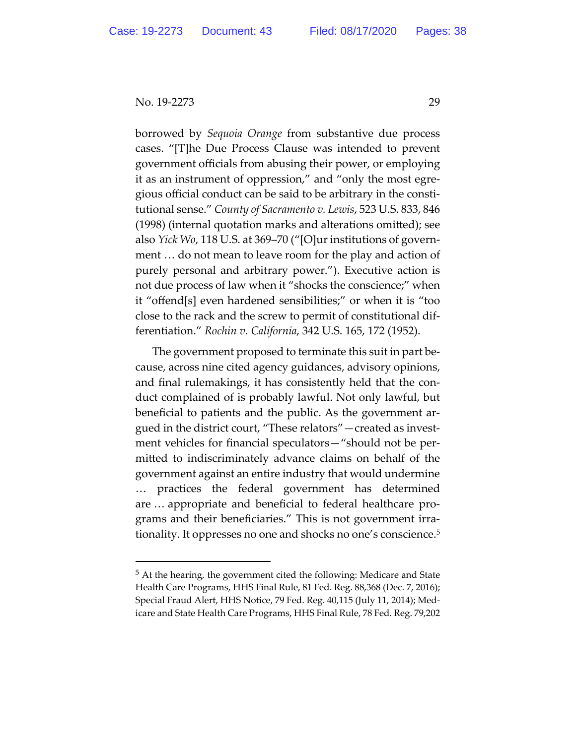borrowed by *Sequoia Orange* from substantive due process cases. "[T]he Due Process Clause was intended to prevent government officials from abusing their power, or employing it as an instrument of oppression," and "only the most egregious official conduct can be said to be arbitrary in the constitutional sense." *County of Sacramento v. Lewis*, 523 U.S. 833, 846 (1998) (internal quotation marks and alterations omitted); see also *Yick Wo*, 118 U.S. at 369–70 ("[O]ur institutions of government … do not mean to leave room for the play and action of purely personal and arbitrary power."). Executive action is not due process of law when it "shocks the conscience;" when it "offend[s] even hardened sensibilities;" or when it is "too close to the rack and the screw to permit of constitutional differentiation." *Rochin v. California*, 342 U.S. 165, 172 (1952).

The government proposed to terminate this suit in part because, across nine cited agency guidances, advisory opinions, and final rulemakings, it has consistently held that the conduct complained of is probably lawful. Not only lawful, but beneficial to patients and the public. As the government argued in the district court, "These relators"—created as investment vehicles for financial speculators—"should not be permitted to indiscriminately advance claims on behalf of the government against an entire industry that would undermine … practices the federal government has determined are … appropriate and beneficial to federal healthcare programs and their beneficiaries." This is not government irrationality. It oppresses no one and shocks no one's conscience.5

<sup>5</sup> At the hearing, the government cited the following: Medicare and State Health Care Programs, HHS Final Rule, 81 Fed. Reg. 88,368 (Dec. 7, 2016); Special Fraud Alert, HHS Notice, 79 Fed. Reg. 40,115 (July 11, 2014); Medicare and State Health Care Programs, HHS Final Rule, 78 Fed. Reg. 79,202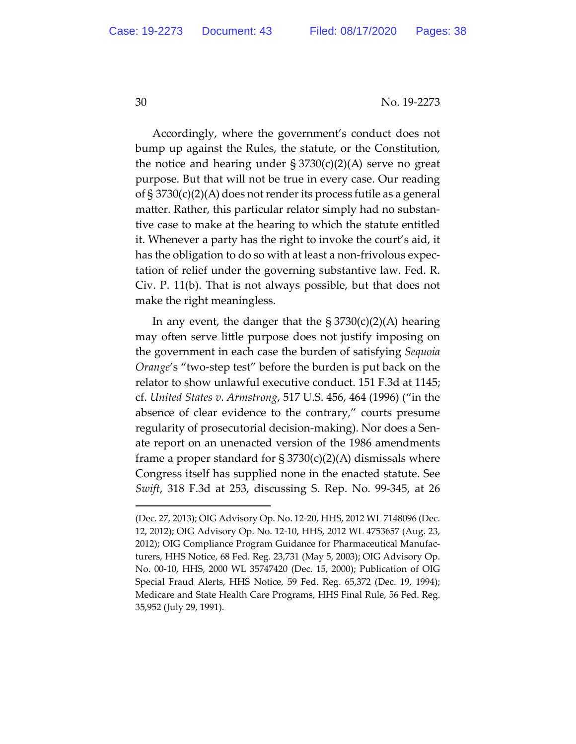Accordingly, where the government's conduct does not bump up against the Rules, the statute, or the Constitution, the notice and hearing under  $\S 3730(c)(2)(A)$  serve no great purpose. But that will not be true in every case. Our reading of § 3730(c)(2)(A) does not render its process futile as a general matter. Rather, this particular relator simply had no substantive case to make at the hearing to which the statute entitled it. Whenever a party has the right to invoke the court's aid, it has the obligation to do so with at least a non-frivolous expectation of relief under the governing substantive law. Fed. R. Civ. P. 11(b). That is not always possible, but that does not make the right meaningless.

In any event, the danger that the  $\S 3730(c)(2)(A)$  hearing may often serve little purpose does not justify imposing on the government in each case the burden of satisfying *Sequoia Orange*'s "two-step test" before the burden is put back on the relator to show unlawful executive conduct. 151 F.3d at 1145; cf. *United States v. Armstrong*, 517 U.S. 456, 464 (1996) ("in the absence of clear evidence to the contrary," courts presume regularity of prosecutorial decision-making). Nor does a Senate report on an unenacted version of the 1986 amendments frame a proper standard for  $\S 3730(c)(2)(A)$  dismissals where Congress itself has supplied none in the enacted statute. See *Swift*, 318 F.3d at 253, discussing S. Rep. No. 99-345, at 26

<sup>(</sup>Dec. 27, 2013); OIG Advisory Op. No. 12-20, HHS, 2012 WL 7148096 (Dec. 12, 2012); OIG Advisory Op. No. 12-10, HHS, 2012 WL 4753657 (Aug. 23, 2012); OIG Compliance Program Guidance for Pharmaceutical Manufacturers, HHS Notice, 68 Fed. Reg. 23,731 (May 5, 2003); OIG Advisory Op. No. 00-10, HHS, 2000 WL 35747420 (Dec. 15, 2000); Publication of OIG Special Fraud Alerts, HHS Notice, 59 Fed. Reg. 65,372 (Dec. 19, 1994); Medicare and State Health Care Programs, HHS Final Rule, 56 Fed. Reg. 35,952 (July 29, 1991).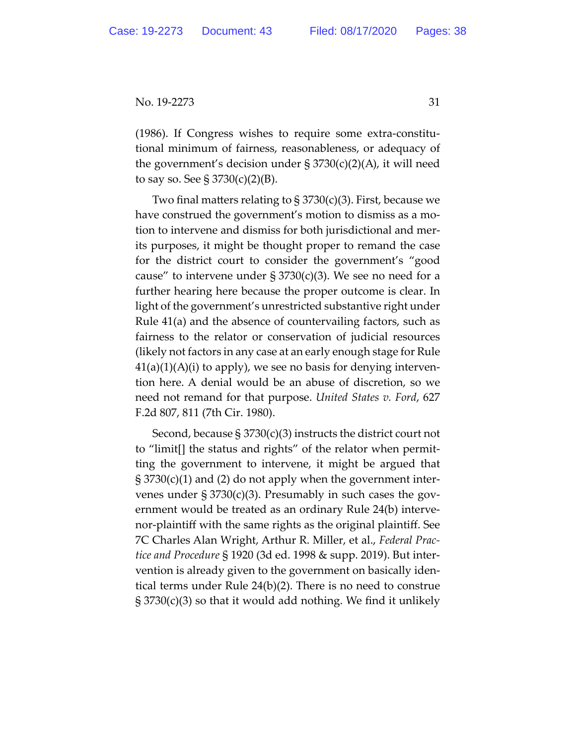(1986). If Congress wishes to require some extra-constitutional minimum of fairness, reasonableness, or adequacy of the government's decision under  $\S 3730(c)(2)(A)$ , it will need to say so. See  $\S 3730(c)(2)(B)$ .

Two final matters relating to  $\S 3730(c)(3)$ . First, because we have construed the government's motion to dismiss as a motion to intervene and dismiss for both jurisdictional and merits purposes, it might be thought proper to remand the case for the district court to consider the government's "good cause" to intervene under  $\S 3730(c)(3)$ . We see no need for a further hearing here because the proper outcome is clear. In light of the government's unrestricted substantive right under Rule 41(a) and the absence of countervailing factors, such as fairness to the relator or conservation of judicial resources (likely not factors in any case at an early enough stage for Rule  $41(a)(1)(A)(i)$  to apply), we see no basis for denying intervention here. A denial would be an abuse of discretion, so we need not remand for that purpose. *United States v. Ford*, 627 F.2d 807, 811 (7th Cir. 1980).

Second, because § 3730(c)(3) instructs the district court not to "limit[] the status and rights" of the relator when permitting the government to intervene, it might be argued that § 3730(c)(1) and (2) do not apply when the government intervenes under  $\S 3730(c)(3)$ . Presumably in such cases the government would be treated as an ordinary Rule 24(b) intervenor-plaintiff with the same rights as the original plaintiff. See 7C Charles Alan Wright, Arthur R. Miller, et al., *Federal Practice and Procedure* § 1920 (3d ed. 1998 & supp. 2019). But intervention is already given to the government on basically identical terms under Rule 24(b)(2). There is no need to construe § 3730(c)(3) so that it would add nothing. We find it unlikely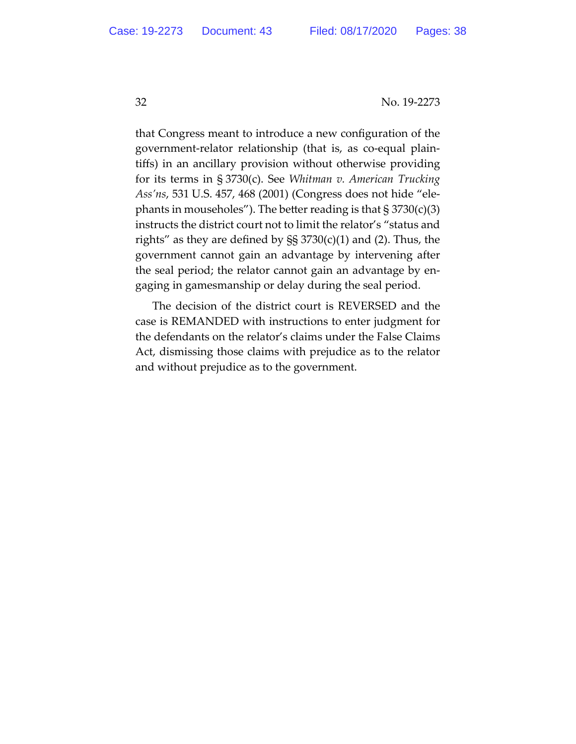that Congress meant to introduce a new configuration of the government-relator relationship (that is, as co-equal plaintiffs) in an ancillary provision without otherwise providing for its terms in § 3730(c). See *Whitman v. American Trucking Ass'ns*, 531 U.S. 457, 468 (2001) (Congress does not hide "elephants in mouseholes"). The better reading is that  $\S 3730(c)(3)$ instructs the district court not to limit the relator's "status and rights" as they are defined by  $\S$   $3730(c)(1)$  and (2). Thus, the government cannot gain an advantage by intervening after the seal period; the relator cannot gain an advantage by engaging in gamesmanship or delay during the seal period.

The decision of the district court is REVERSED and the case is REMANDED with instructions to enter judgment for the defendants on the relator's claims under the False Claims Act, dismissing those claims with prejudice as to the relator and without prejudice as to the government.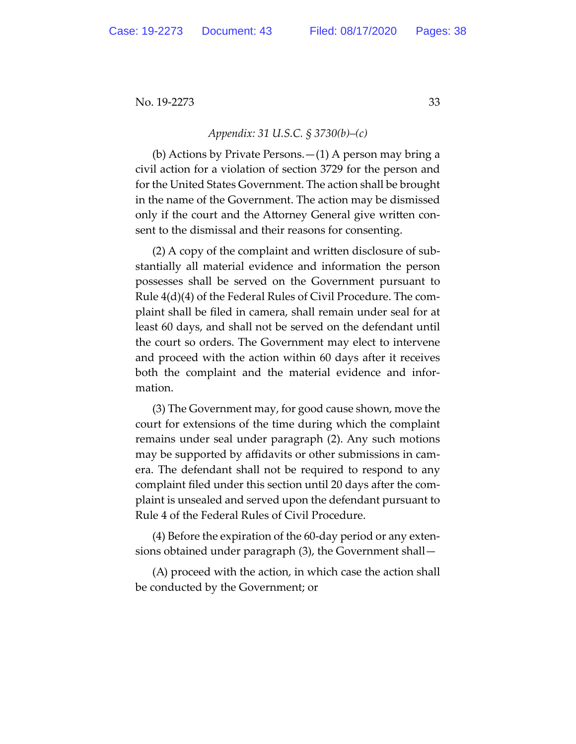## *Appendix: 31 U.S.C. § 3730(b)–(c)*

(b) Actions by Private Persons.—(1) A person may bring a civil action for a violation of section 3729 for the person and for the United States Government. The action shall be brought in the name of the Government. The action may be dismissed only if the court and the Attorney General give written consent to the dismissal and their reasons for consenting.

(2) A copy of the complaint and written disclosure of substantially all material evidence and information the person possesses shall be served on the Government pursuant to Rule 4(d)(4) of the Federal Rules of Civil Procedure. The complaint shall be filed in camera, shall remain under seal for at least 60 days, and shall not be served on the defendant until the court so orders. The Government may elect to intervene and proceed with the action within 60 days after it receives both the complaint and the material evidence and information.

(3) The Government may, for good cause shown, move the court for extensions of the time during which the complaint remains under seal under paragraph (2). Any such motions may be supported by affidavits or other submissions in camera. The defendant shall not be required to respond to any complaint filed under this section until 20 days after the complaint is unsealed and served upon the defendant pursuant to Rule 4 of the Federal Rules of Civil Procedure.

(4) Before the expiration of the 60-day period or any extensions obtained under paragraph (3), the Government shall—

(A) proceed with the action, in which case the action shall be conducted by the Government; or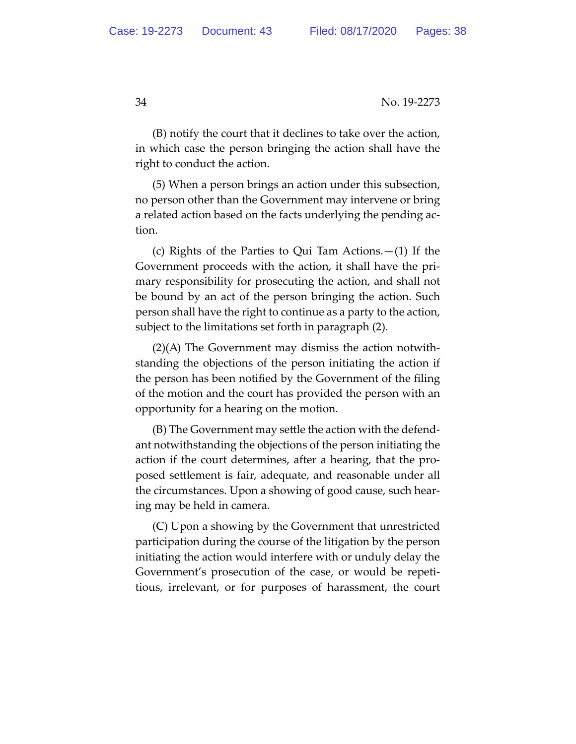(B) notify the court that it declines to take over the action, in which case the person bringing the action shall have the right to conduct the action.

(5) When a person brings an action under this subsection, no person other than the Government may intervene or bring a related action based on the facts underlying the pending action.

(c) Rights of the Parties to Qui Tam Actions.—(1) If the Government proceeds with the action, it shall have the primary responsibility for prosecuting the action, and shall not be bound by an act of the person bringing the action. Such person shall have the right to continue as a party to the action, subject to the limitations set forth in paragraph (2).

(2)(A) The Government may dismiss the action notwithstanding the objections of the person initiating the action if the person has been notified by the Government of the filing of the motion and the court has provided the person with an opportunity for a hearing on the motion.

(B) The Government may settle the action with the defendant notwithstanding the objections of the person initiating the action if the court determines, after a hearing, that the proposed settlement is fair, adequate, and reasonable under all the circumstances. Upon a showing of good cause, such hearing may be held in camera.

(C) Upon a showing by the Government that unrestricted participation during the course of the litigation by the person initiating the action would interfere with or unduly delay the Government's prosecution of the case, or would be repetitious, irrelevant, or for purposes of harassment, the court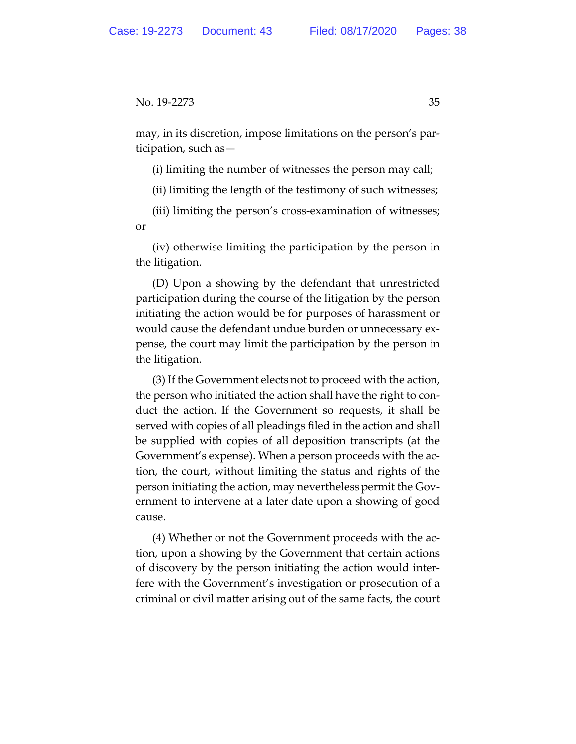may, in its discretion, impose limitations on the person's participation, such as—

(i) limiting the number of witnesses the person may call;

(ii) limiting the length of the testimony of such witnesses;

(iii) limiting the person's cross-examination of witnesses; or

(iv) otherwise limiting the participation by the person in the litigation.

(D) Upon a showing by the defendant that unrestricted participation during the course of the litigation by the person initiating the action would be for purposes of harassment or would cause the defendant undue burden or unnecessary expense, the court may limit the participation by the person in the litigation.

(3) If the Government elects not to proceed with the action, the person who initiated the action shall have the right to conduct the action. If the Government so requests, it shall be served with copies of all pleadings filed in the action and shall be supplied with copies of all deposition transcripts (at the Government's expense). When a person proceeds with the action, the court, without limiting the status and rights of the person initiating the action, may nevertheless permit the Government to intervene at a later date upon a showing of good cause.

(4) Whether or not the Government proceeds with the action, upon a showing by the Government that certain actions of discovery by the person initiating the action would interfere with the Government's investigation or prosecution of a criminal or civil matter arising out of the same facts, the court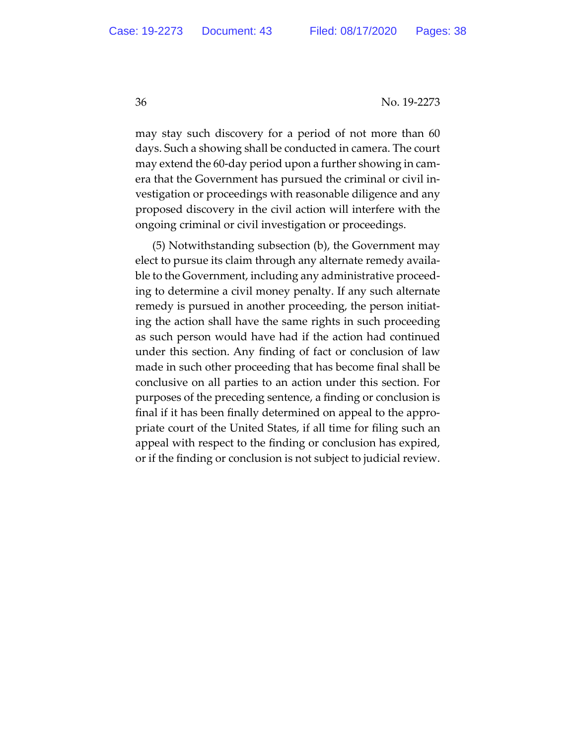may stay such discovery for a period of not more than 60 days. Such a showing shall be conducted in camera. The court may extend the 60-day period upon a further showing in camera that the Government has pursued the criminal or civil investigation or proceedings with reasonable diligence and any proposed discovery in the civil action will interfere with the ongoing criminal or civil investigation or proceedings.

(5) Notwithstanding subsection (b), the Government may elect to pursue its claim through any alternate remedy available to the Government, including any administrative proceeding to determine a civil money penalty. If any such alternate remedy is pursued in another proceeding, the person initiating the action shall have the same rights in such proceeding as such person would have had if the action had continued under this section. Any finding of fact or conclusion of law made in such other proceeding that has become final shall be conclusive on all parties to an action under this section. For purposes of the preceding sentence, a finding or conclusion is final if it has been finally determined on appeal to the appropriate court of the United States, if all time for filing such an appeal with respect to the finding or conclusion has expired, or if the finding or conclusion is not subject to judicial review.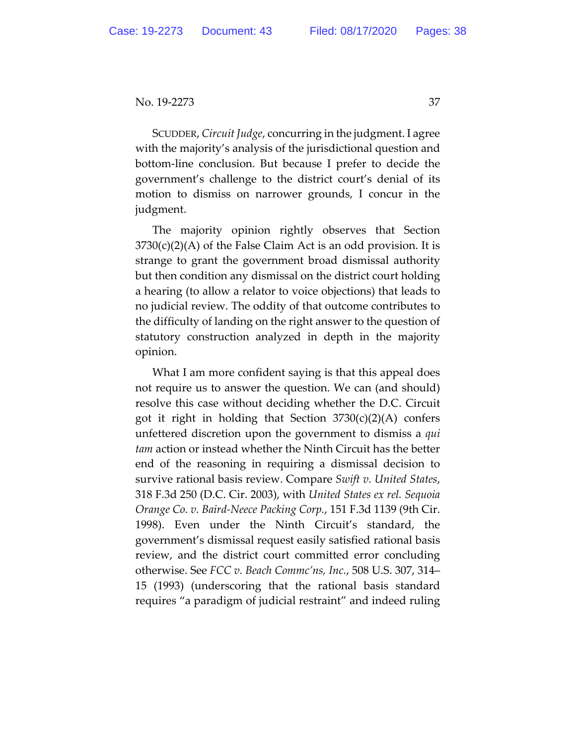SCUDDER, *Circuit Judge*, concurring in the judgment. I agree with the majority's analysis of the jurisdictional question and bottom-line conclusion. But because I prefer to decide the government's challenge to the district court's denial of its motion to dismiss on narrower grounds, I concur in the judgment.

The majority opinion rightly observes that Section  $3730(c)(2)(A)$  of the False Claim Act is an odd provision. It is strange to grant the government broad dismissal authority but then condition any dismissal on the district court holding a hearing (to allow a relator to voice objections) that leads to no judicial review. The oddity of that outcome contributes to the difficulty of landing on the right answer to the question of statutory construction analyzed in depth in the majority opinion.

What I am more confident saying is that this appeal does not require us to answer the question. We can (and should) resolve this case without deciding whether the D.C. Circuit got it right in holding that Section  $3730(c)(2)(A)$  confers unfettered discretion upon the government to dismiss a *qui tam* action or instead whether the Ninth Circuit has the better end of the reasoning in requiring a dismissal decision to survive rational basis review. Compare *Swift v. United States*, 318 F.3d 250 (D.C. Cir. 2003), with *United States ex rel. Sequoia Orange Co. v. Baird-Neece Packing Corp.*, 151 F.3d 1139 (9th Cir. 1998). Even under the Ninth Circuit's standard, the government's dismissal request easily satisfied rational basis review, and the district court committed error concluding otherwise. See *FCC v. Beach Commc'ns, Inc.*, 508 U.S. 307, 314– 15 (1993) (underscoring that the rational basis standard requires "a paradigm of judicial restraint" and indeed ruling